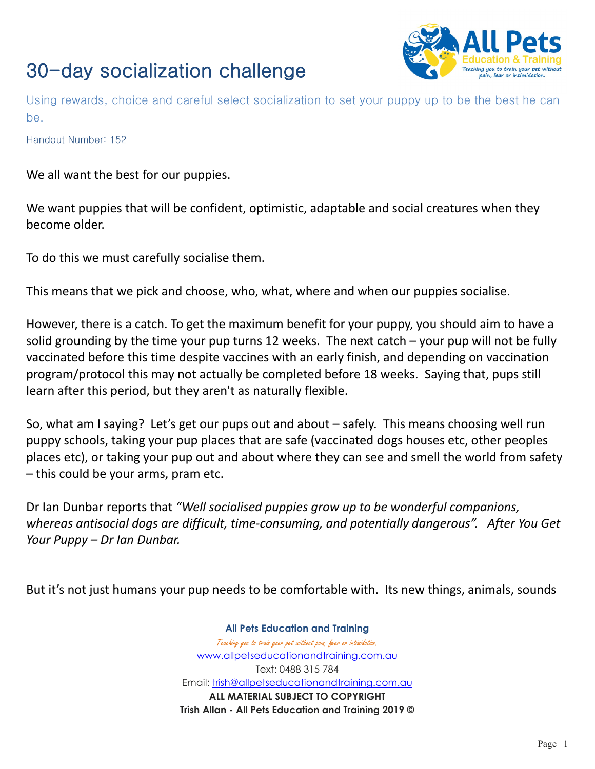

Using rewards, choice and careful select socialization to set your puppy up to be the best he can be.

Handout Number: 152

We all want the best for our puppies.

We want puppies that will be confident, optimistic, adaptable and social creatures when they become older.

To do this we must carefully socialise them.

This means that we pick and choose, who, what, where and when our puppies socialise.

However, there is a catch. To get the maximum benefit for your puppy, you should aim to have a solid grounding by the time your pup turns 12 weeks. The next catch – your pup will not be fully vaccinated before this time despite vaccines with an early finish, and depending on vaccination program/protocol this may not actually be completed before 18 weeks. Saying that, pups still learn after this period, but they aren't as naturally flexible.

So, what am I saying? Let's get our pups out and about – safely. This means choosing well run puppy schools, taking your pup places that are safe (vaccinated dogs houses etc, other peoples places etc), or taking your pup out and about where they can see and smell the world from safety – this could be your arms, pram etc.

Dr Ian Dunbar reports that *"Well socialised puppies grow up to be wonderful companions, whereas antisocial dogs are difficult, time-consuming, and potentially dangerous". After You Get Your Puppy – Dr Ian Dunbar.*

But it's not just humans your pup needs to be comfortable with. Its new things, animals, sounds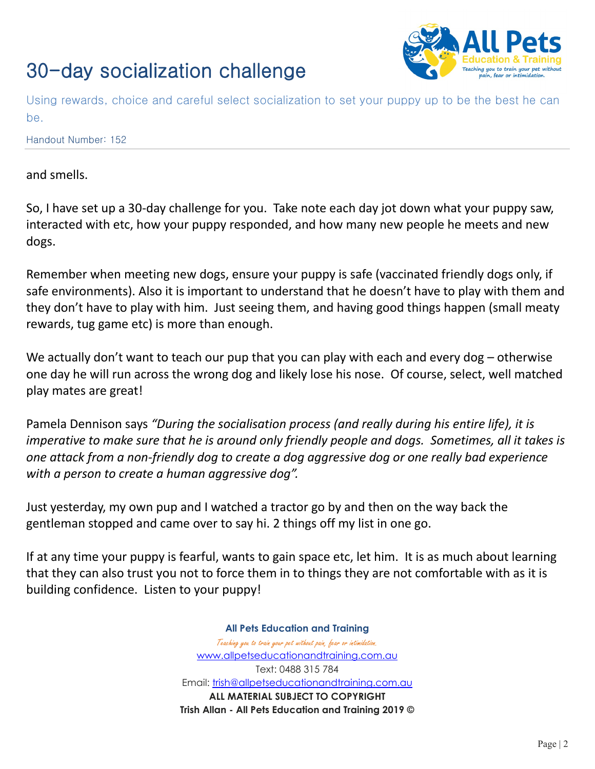

Using rewards, choice and careful select socialization to set your puppy up to be the best he can be.

Handout Number: 152

### and smells.

So, I have set up a 30-day challenge for you. Take note each day jot down what your puppy saw, interacted with etc, how your puppy responded, and how many new people he meets and new dogs.

Remember when meeting new dogs, ensure your puppy is safe (vaccinated friendly dogs only, if safe environments). Also it is important to understand that he doesn't have to play with them and they don't have to play with him. Just seeing them, and having good things happen (small meaty rewards, tug game etc) is more than enough.

We actually don't want to teach our pup that you can play with each and every dog – otherwise one day he will run across the wrong dog and likely lose his nose. Of course, select, well matched play mates are great!

Pamela Dennison says *"During the socialisation process (and really during his entire life), it is imperative to make sure that he is around only friendly people and dogs. Sometimes, all it takes is one attack from a non-friendly dog to create a dog aggressive dog or one really bad experience with a person to create a human aggressive dog".*

Just yesterday, my own pup and I watched a tractor go by and then on the way back the gentleman stopped and came over to say hi. 2 things off my list in one go.

If at any time your puppy is fearful, wants to gain space etc, let him. It is as much about learning that they can also trust you not to force them in to things they are not comfortable with as it is building confidence. Listen to your puppy!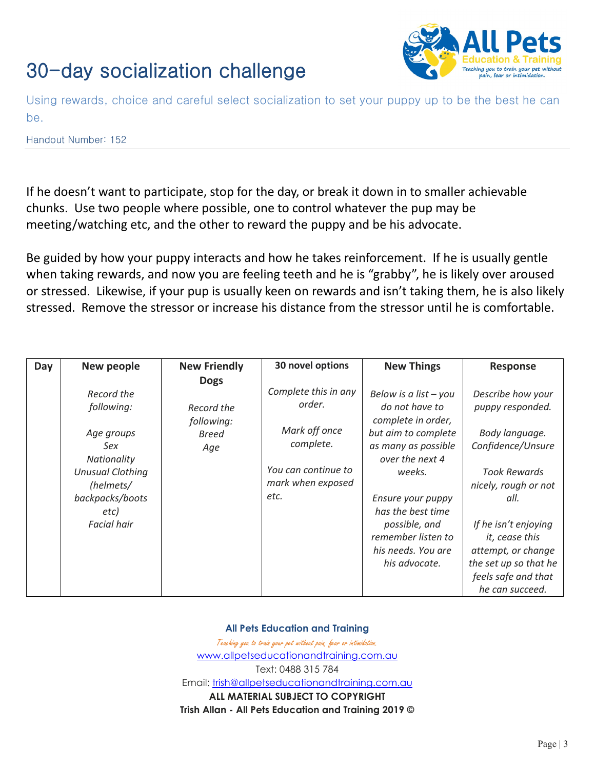

Using rewards, choice and careful select socialization to set your puppy up to be the best he can be.

Handout Number: 152

If he doesn't want to participate, stop for the day, or break it down in to smaller achievable chunks. Use two people where possible, one to control whatever the pup may be meeting/watching etc, and the other to reward the puppy and be his advocate.

Be guided by how your puppy interacts and how he takes reinforcement. If he is usually gentle when taking rewards, and now you are feeling teeth and he is "grabby", he is likely over aroused or stressed. Likewise, if your pup is usually keen on rewards and isn't taking them, he is also likely stressed. Remove the stressor or increase his distance from the stressor until he is comfortable.

| Day | New people                                                                                                                                            | <b>New Friendly</b>                                            | 30 novel options                                                                                                 | <b>New Things</b>                                                                                                                                                                                                                                                  | <b>Response</b>                                                                                                                                                                                                                                                        |
|-----|-------------------------------------------------------------------------------------------------------------------------------------------------------|----------------------------------------------------------------|------------------------------------------------------------------------------------------------------------------|--------------------------------------------------------------------------------------------------------------------------------------------------------------------------------------------------------------------------------------------------------------------|------------------------------------------------------------------------------------------------------------------------------------------------------------------------------------------------------------------------------------------------------------------------|
|     | Record the<br>following:<br>Age groups<br>Sex<br>Nationality<br><b>Unusual Clothing</b><br>(helmets/<br>backpacks/boots<br>etc)<br><b>Facial hair</b> | <b>Dogs</b><br>Record the<br>following:<br><b>Breed</b><br>Age | Complete this in any<br>order.<br>Mark off once<br>complete.<br>You can continue to<br>mark when exposed<br>etc. | Below is a list $-$ you<br>do not have to<br>complete in order,<br>but aim to complete<br>as many as possible<br>over the next 4<br>weeks.<br>Ensure your puppy<br>has the best time<br>possible, and<br>remember listen to<br>his needs. You are<br>his advocate. | Describe how your<br>puppy responded.<br>Body language.<br>Confidence/Unsure<br><b>Took Rewards</b><br>nicely, rough or not<br>all.<br>If he isn't enjoying<br>it, cease this<br>attempt, or change<br>the set up so that he<br>feels safe and that<br>he can succeed. |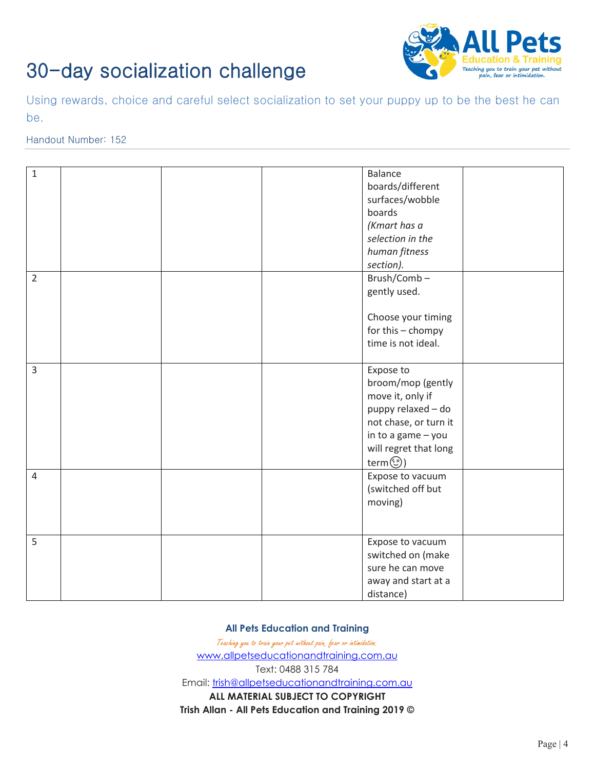

Using rewards, choice and careful select socialization to set your puppy up to be the best he can be.

### Handout Number: 152

| $\mathbf{1}$   |  | <b>Balance</b>        |  |
|----------------|--|-----------------------|--|
|                |  | boards/different      |  |
|                |  | surfaces/wobble       |  |
|                |  | boards                |  |
|                |  | (Kmart has a          |  |
|                |  | selection in the      |  |
|                |  | human fitness         |  |
|                |  | section).             |  |
| $\overline{2}$ |  | Brush/Comb-           |  |
|                |  | gently used.          |  |
|                |  |                       |  |
|                |  | Choose your timing    |  |
|                |  | for this - chompy     |  |
|                |  | time is not ideal.    |  |
|                |  |                       |  |
| 3              |  | Expose to             |  |
|                |  | broom/mop (gently     |  |
|                |  | move it, only if      |  |
|                |  | puppy relaxed - do    |  |
|                |  | not chase, or turn it |  |
|                |  | in to a game - you    |  |
|                |  | will regret that long |  |
|                |  | term (1)              |  |
| $\overline{4}$ |  | Expose to vacuum      |  |
|                |  | (switched off but     |  |
|                |  | moving)               |  |
|                |  |                       |  |
|                |  |                       |  |
| 5              |  | Expose to vacuum      |  |
|                |  | switched on (make     |  |
|                |  | sure he can move      |  |
|                |  | away and start at a   |  |
|                |  | distance)             |  |
|                |  |                       |  |

#### **All Pets Education and Training**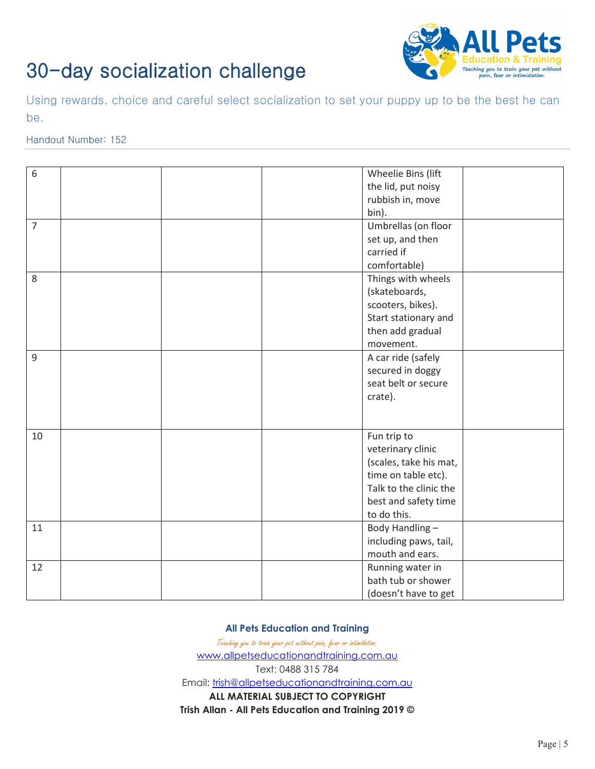

Using rewards, choice and careful select socialization to set your puppy up to be the best he can be.

### Handout Number: 152

| the lid, put noisy<br>rubbish in, move<br>bin).<br>$\overline{7}$<br>Umbrellas (on floor<br>set up, and then<br>carried if<br>comfortable)<br>Things with wheels<br>8<br>(skateboards,<br>scooters, bikes).<br>Start stationary and<br>then add gradual<br>movement.<br>9<br>A car ride (safely<br>secured in doggy<br>seat belt or secure<br>crate).<br>10<br>Fun trip to<br>veterinary clinic<br>(scales, take his mat,<br>time on table etc).<br>Talk to the clinic the<br>best and safety time<br>to do this.<br>Body Handling-<br>11<br>including paws, tail,<br>mouth and ears.<br>12<br>Running water in<br>bath tub or shower<br>(doesn't have to get |   |                    |
|---------------------------------------------------------------------------------------------------------------------------------------------------------------------------------------------------------------------------------------------------------------------------------------------------------------------------------------------------------------------------------------------------------------------------------------------------------------------------------------------------------------------------------------------------------------------------------------------------------------------------------------------------------------|---|--------------------|
|                                                                                                                                                                                                                                                                                                                                                                                                                                                                                                                                                                                                                                                               | 6 | Wheelie Bins (lift |
|                                                                                                                                                                                                                                                                                                                                                                                                                                                                                                                                                                                                                                                               |   |                    |
|                                                                                                                                                                                                                                                                                                                                                                                                                                                                                                                                                                                                                                                               |   |                    |
|                                                                                                                                                                                                                                                                                                                                                                                                                                                                                                                                                                                                                                                               |   |                    |
|                                                                                                                                                                                                                                                                                                                                                                                                                                                                                                                                                                                                                                                               |   |                    |
|                                                                                                                                                                                                                                                                                                                                                                                                                                                                                                                                                                                                                                                               |   |                    |
|                                                                                                                                                                                                                                                                                                                                                                                                                                                                                                                                                                                                                                                               |   |                    |
|                                                                                                                                                                                                                                                                                                                                                                                                                                                                                                                                                                                                                                                               |   |                    |
|                                                                                                                                                                                                                                                                                                                                                                                                                                                                                                                                                                                                                                                               |   |                    |
|                                                                                                                                                                                                                                                                                                                                                                                                                                                                                                                                                                                                                                                               |   |                    |
|                                                                                                                                                                                                                                                                                                                                                                                                                                                                                                                                                                                                                                                               |   |                    |
|                                                                                                                                                                                                                                                                                                                                                                                                                                                                                                                                                                                                                                                               |   |                    |
|                                                                                                                                                                                                                                                                                                                                                                                                                                                                                                                                                                                                                                                               |   |                    |
|                                                                                                                                                                                                                                                                                                                                                                                                                                                                                                                                                                                                                                                               |   |                    |
|                                                                                                                                                                                                                                                                                                                                                                                                                                                                                                                                                                                                                                                               |   |                    |
|                                                                                                                                                                                                                                                                                                                                                                                                                                                                                                                                                                                                                                                               |   |                    |
|                                                                                                                                                                                                                                                                                                                                                                                                                                                                                                                                                                                                                                                               |   |                    |
|                                                                                                                                                                                                                                                                                                                                                                                                                                                                                                                                                                                                                                                               |   |                    |
|                                                                                                                                                                                                                                                                                                                                                                                                                                                                                                                                                                                                                                                               |   |                    |
|                                                                                                                                                                                                                                                                                                                                                                                                                                                                                                                                                                                                                                                               |   |                    |
|                                                                                                                                                                                                                                                                                                                                                                                                                                                                                                                                                                                                                                                               |   |                    |
|                                                                                                                                                                                                                                                                                                                                                                                                                                                                                                                                                                                                                                                               |   |                    |
|                                                                                                                                                                                                                                                                                                                                                                                                                                                                                                                                                                                                                                                               |   |                    |
|                                                                                                                                                                                                                                                                                                                                                                                                                                                                                                                                                                                                                                                               |   |                    |
|                                                                                                                                                                                                                                                                                                                                                                                                                                                                                                                                                                                                                                                               |   |                    |
|                                                                                                                                                                                                                                                                                                                                                                                                                                                                                                                                                                                                                                                               |   |                    |
|                                                                                                                                                                                                                                                                                                                                                                                                                                                                                                                                                                                                                                                               |   |                    |
|                                                                                                                                                                                                                                                                                                                                                                                                                                                                                                                                                                                                                                                               |   |                    |
|                                                                                                                                                                                                                                                                                                                                                                                                                                                                                                                                                                                                                                                               |   |                    |
|                                                                                                                                                                                                                                                                                                                                                                                                                                                                                                                                                                                                                                                               |   |                    |
|                                                                                                                                                                                                                                                                                                                                                                                                                                                                                                                                                                                                                                                               |   |                    |
|                                                                                                                                                                                                                                                                                                                                                                                                                                                                                                                                                                                                                                                               |   |                    |
|                                                                                                                                                                                                                                                                                                                                                                                                                                                                                                                                                                                                                                                               |   |                    |

#### **All Pets Education and Training**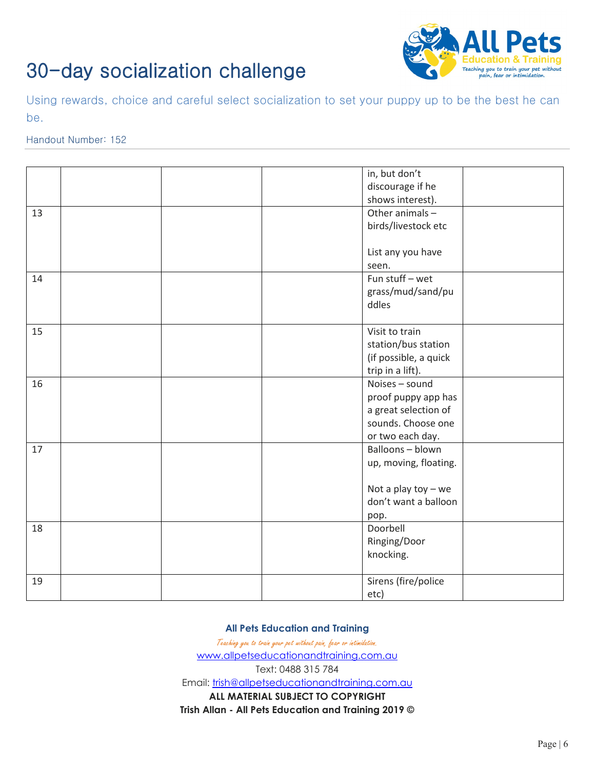

Using rewards, choice and careful select socialization to set your puppy up to be the best he can be.

### Handout Number: 152

|    | in, but don't         |
|----|-----------------------|
|    |                       |
|    | discourage if he      |
|    | shows interest).      |
| 13 | Other animals -       |
|    | birds/livestock etc   |
|    |                       |
|    | List any you have     |
|    | seen.                 |
| 14 | Fun stuff - wet       |
|    | grass/mud/sand/pu     |
|    | ddles                 |
|    |                       |
| 15 | Visit to train        |
|    | station/bus station   |
|    | (if possible, a quick |
|    | trip in a lift).      |
| 16 | Noises - sound        |
|    | proof puppy app has   |
|    | a great selection of  |
|    | sounds. Choose one    |
|    | or two each day.      |
| 17 | Balloons-blown        |
|    | up, moving, floating. |
|    |                       |
|    | Not a play toy $-$ we |
|    | don't want a balloon  |
|    |                       |
| 18 | pop.<br>Doorbell      |
|    |                       |
|    | Ringing/Door          |
|    | knocking.             |
|    |                       |
| 19 | Sirens (fire/police   |
|    | etc)                  |

**All Pets Education and Training**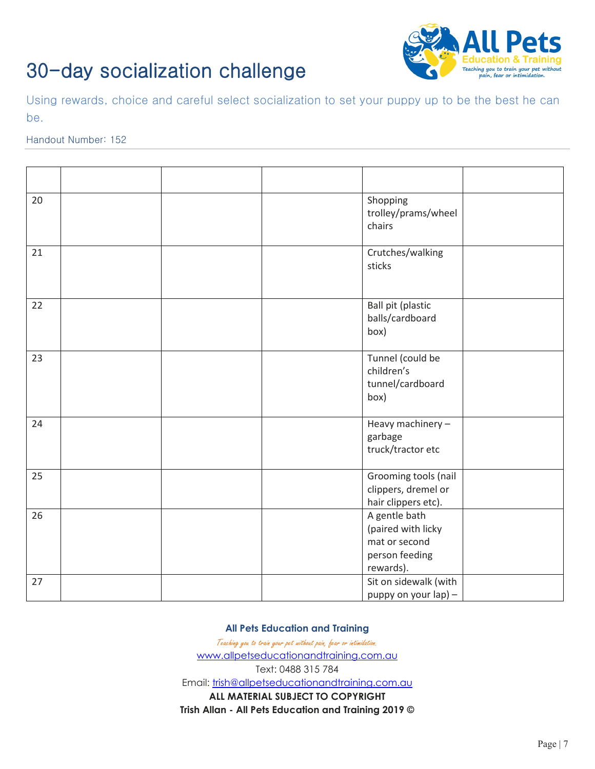

Using rewards, choice and careful select socialization to set your puppy up to be the best he can be.

### Handout Number: 152

| 20 |  | Shopping<br>trolley/prams/wheel<br>chairs                                           |  |
|----|--|-------------------------------------------------------------------------------------|--|
| 21 |  | Crutches/walking<br>sticks                                                          |  |
| 22 |  | Ball pit (plastic<br>balls/cardboard<br>box)                                        |  |
| 23 |  | Tunnel (could be<br>children's<br>tunnel/cardboard<br>box)                          |  |
| 24 |  | Heavy machinery -<br>garbage<br>truck/tractor etc                                   |  |
| 25 |  | Grooming tools (nail<br>clippers, dremel or<br>hair clippers etc).                  |  |
| 26 |  | A gentle bath<br>(paired with licky<br>mat or second<br>person feeding<br>rewards). |  |
| 27 |  | Sit on sidewalk (with<br>puppy on your lap) -                                       |  |

#### **All Pets Education and Training**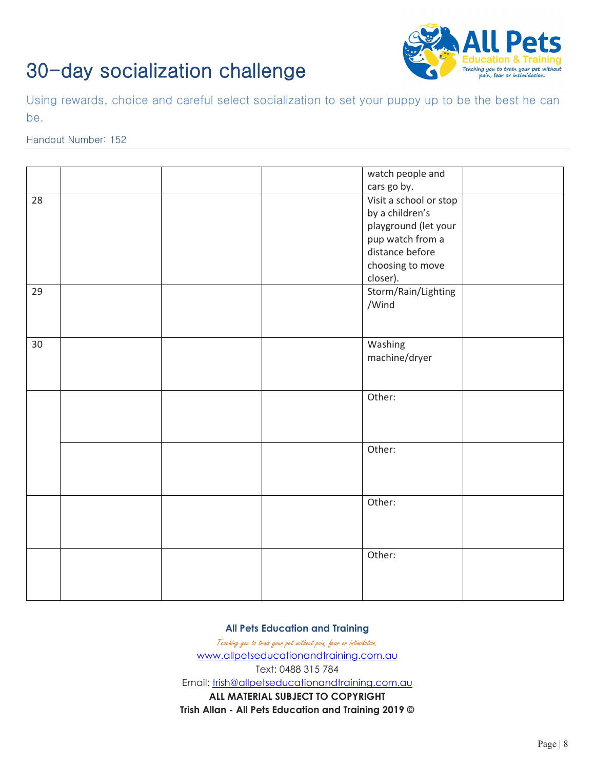

Using rewards, choice and careful select socialization to set your puppy up to be the best he can be.

### Handout Number: 152

|    |  | watch people and       |  |
|----|--|------------------------|--|
|    |  | cars go by.            |  |
| 28 |  | Visit a school or stop |  |
|    |  | by a children's        |  |
|    |  | playground (let your   |  |
|    |  | pup watch from a       |  |
|    |  | distance before        |  |
|    |  | choosing to move       |  |
|    |  | closer).               |  |
| 29 |  | Storm/Rain/Lighting    |  |
|    |  | /Wind                  |  |
|    |  |                        |  |
|    |  |                        |  |
| 30 |  | Washing                |  |
|    |  | machine/dryer          |  |
|    |  |                        |  |
|    |  |                        |  |
|    |  | Other:                 |  |
|    |  |                        |  |
|    |  |                        |  |
|    |  |                        |  |
|    |  | Other:                 |  |
|    |  |                        |  |
|    |  |                        |  |
|    |  |                        |  |
|    |  | Other:                 |  |
|    |  |                        |  |
|    |  |                        |  |
|    |  |                        |  |
|    |  | Other:                 |  |
|    |  |                        |  |
|    |  |                        |  |
|    |  |                        |  |
|    |  |                        |  |

**All Pets Education and Training**